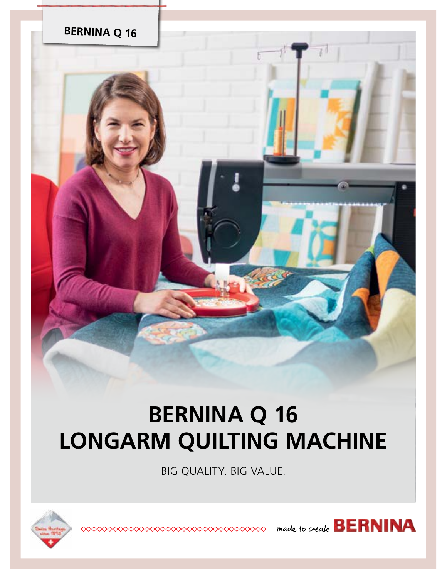

# **BERNINA Q 16 LONGARM QUILTING MACHINE**

BIG QUALITY. BIG VALUE.



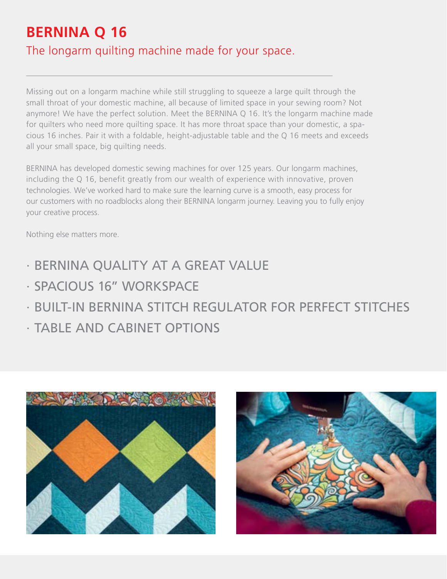# **BERNINA Q 16**

The longarm quilting machine made for your space.

Missing out on a longarm machine while still struggling to squeeze a large quilt through the small throat of your domestic machine, all because of limited space in your sewing room? Not anymore! We have the perfect solution. Meet the BERNINA Q 16. It's the longarm machine made for quilters who need more quilting space. It has more throat space than your domestic, a spacious 16 inches. Pair it with a foldable, height-adjustable table and the Q 16 meets and exceeds all your small space, big quilting needs.

BERNINA has developed domestic sewing machines for over 125 years. Our longarm machines, including the Q 16, benefit greatly from our wealth of experience with innovative, proven technologies. We've worked hard to make sure the learning curve is a smooth, easy process for our customers with no roadblocks along their BERNINA longarm journey. Leaving you to fully enjoy your creative process.

Nothing else matters more.

- · BERNINA QUALITY AT A GREAT VALUE
- · SPACIOUS 16" WORKSPACE
- · BUILT-IN BERNINA STITCH REGULATOR FOR PERFECT STITCHES
- · TABLE AND CABINET OPTIONS



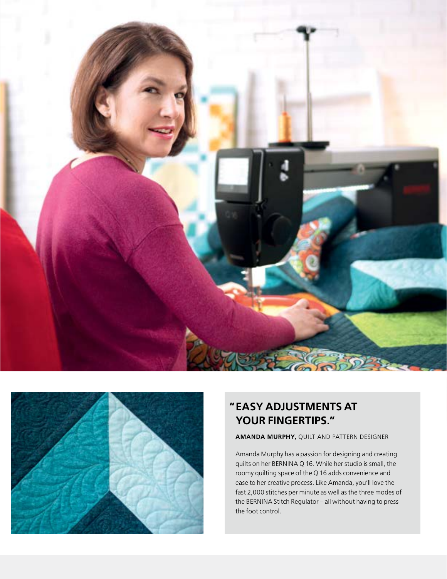



## **"EASY ADJUSTMENTS AT YOUR FINGERTIPS."**

#### **AMANDA MURPHY,** QUILT AND PATTERN DESIGNER

Amanda Murphy has a passion for designing and creating quilts on her BERNINA Q 16. While her studio is small, the roomy quilting space of the Q 16 adds convenience and ease to her creative process. Like Amanda, you'll love the fast 2,000 stitches per minute as well as the three modes of the BERNINA Stitch Regulator – all without having to press the foot control.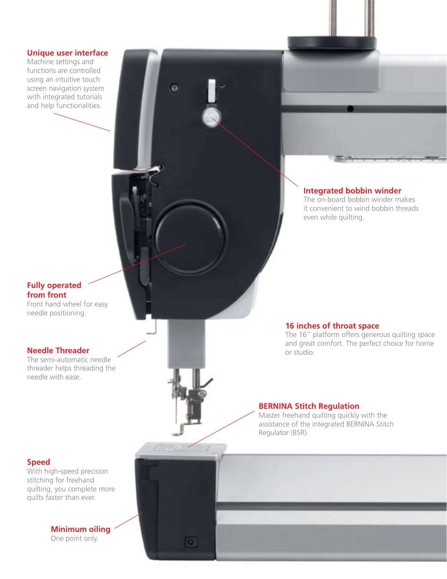#### **Unique user interface**

Machine settings and functions are controlled using an intuitive touch screen navigation system with integrated tutorials and help functionalities.

#### **Fully operated from front**

Front hand wheel for easy needle positioning.

#### **Needle Threader**

The semi-automatic needle threader helps threading the needle with ease.

 $\mathcal{L} \left( \mathcal{L} \right)$ 

 $\left( \cdot\right)$ 

 $\bullet$ 

# **Integrated bobbin winder**

The on-board bobbin winder makes it convenient to wind bobbin threads even while quilting.

#### **16 inches of throat space**

The 16" platform offers generous quilting space and great comfort. The perfect choice for home or studio.

#### **BERNINA Stitch Regulation**

Master freehand quilting quickly with the assistance of the integrated BERNINA Stitch Regulator (BSR).

#### **Speed**

With high-speed precision stitching for freehand quilting, you complete more quilts faster than ever.

#### **Minimum oiling**

One point only.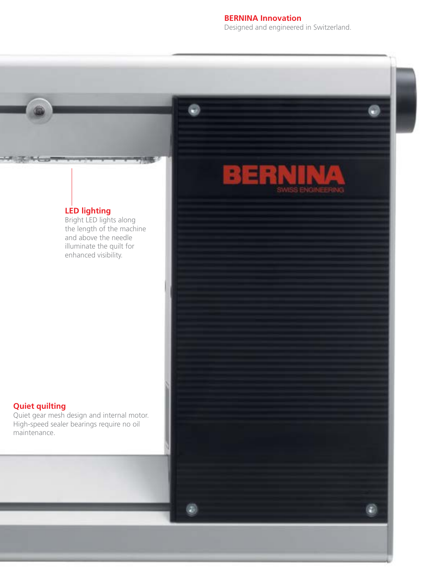### **BERNINA Innovation**

Designed and engineered in Switzerland.



#### **Quiet quilting**

Quiet gear mesh design and internal motor. High-speed sealer bearings require no oil maintenance.

**LED lighting**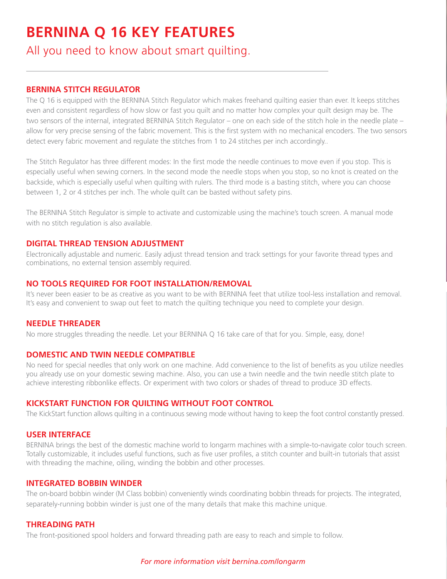# **BERNINA Q 16 KEY FEATURES**

All you need to know about smart quilting.

#### **BERNINA STITCH REGULATOR**

The Q 16 is equipped with the BERNINA Stitch Regulator which makes freehand quilting easier than ever. It keeps stitches even and consistent regardless of how slow or fast you quilt and no matter how complex your quilt design may be. The two sensors of the internal, integrated BERNINA Stitch Regulator – one on each side of the stitch hole in the needle plate – allow for very precise sensing of the fabric movement. This is the first system with no mechanical encoders. The two sensors detect every fabric movement and regulate the stitches from 1 to 24 stitches per inch accordingly..

The Stitch Regulator has three different modes: In the first mode the needle continues to move even if you stop. This is especially useful when sewing corners. In the second mode the needle stops when you stop, so no knot is created on the backside, which is especially useful when quilting with rulers. The third mode is a basting stitch, where you can choose between 1, 2 or 4 stitches per inch. The whole quilt can be basted without safety pins.

The BERNINA Stitch Regulator is simple to activate and customizable using the machine's touch screen. A manual mode with no stitch regulation is also available.

#### **DIGITAL THREAD TENSION ADJUSTMENT**

Electronically adjustable and numeric. Easily adjust thread tension and track settings for your favorite thread types and combinations, no external tension assembly required.

#### **NO TOOLS REQUIRED FOR FOOT INSTALLATION/REMOVAL**

It's never been easier to be as creative as you want to be with BERNINA feet that utilize tool-less installation and removal. It's easy and convenient to swap out feet to match the quilting technique you need to complete your design.

#### **NEEDLE THREADER**

No more struggles threading the needle. Let your BERNINA Q 16 take care of that for you. Simple, easy, done!

#### **DOMESTIC AND TWIN NEEDLE COMPATIBLE**

No need for special needles that only work on one machine. Add convenience to the list of benefits as you utilize needles you already use on your domestic sewing machine. Also, you can use a twin needle and the twin needle stitch plate to achieve interesting ribbonlike effects. Or experiment with two colors or shades of thread to produce 3D effects.

#### **KICKSTART FUNCTION FOR QUILTING WITHOUT FOOT CONTROL**

The KickStart function allows quilting in a continuous sewing mode without having to keep the foot control constantly pressed.

#### **USER INTERFACE**

BERNINA brings the best of the domestic machine world to longarm machines with a simple-to-navigate color touch screen. Totally customizable, it includes useful functions, such as five user profiles, a stitch counter and built-in tutorials that assist with threading the machine, oiling, winding the bobbin and other processes.

#### **INTEGRATED BOBBIN WINDER**

The on-board bobbin winder (M Class bobbin) conveniently winds coordinating bobbin threads for projects. The integrated, separately-running bobbin winder is just one of the many details that make this machine unique.

#### **THREADING PATH**

The front-positioned spool holders and forward threading path are easy to reach and simple to follow.

#### *For more information visit bernina.com/longarm*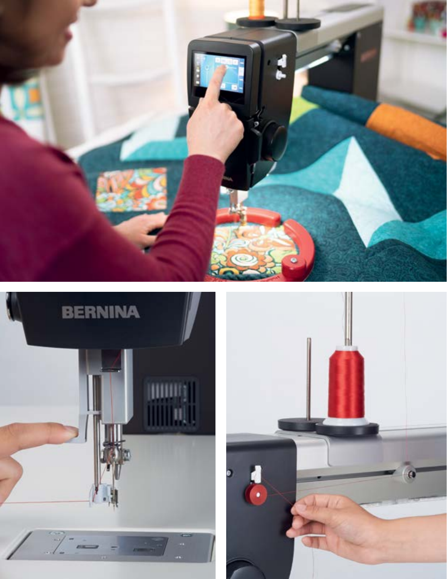



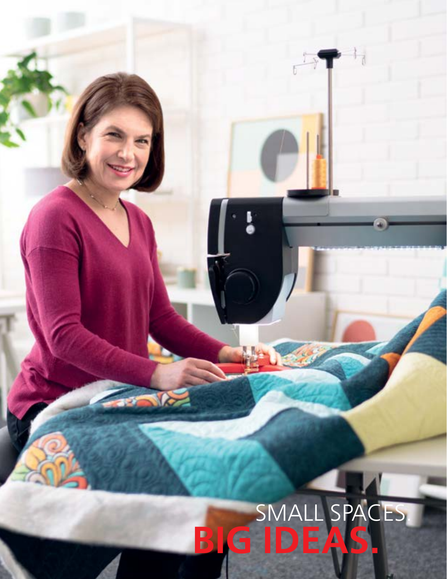# SMALL SPACES. **BIG IDEAS.**

V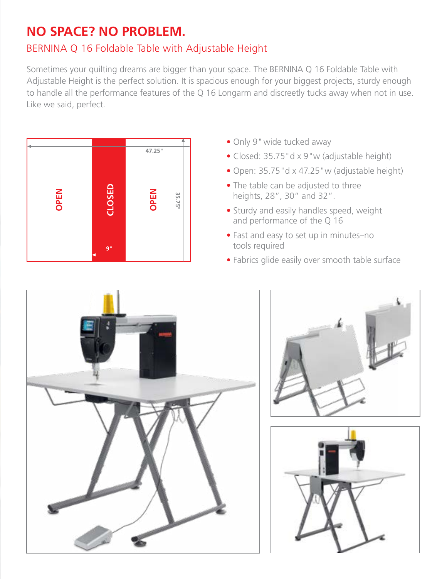# **NO SPACE? NO PROBLEM.**

## BERNINA Q 16 Foldable Table with Adjustable Height

Sometimes your quilting dreams are bigger than your space. The BERNINA Q 16 Foldable Table with Adjustable Height is the perfect solution. It is spacious enough for your biggest projects, sturdy enough to handle all the performance features of the Q 16 Longarm and discreetly tucks away when not in use. Like we said, perfect.



- Only 9" wide tucked away
- Closed: 35.75"d x 9"w (adjustable height)
- Open: 35.75"d x 47.25"w (adjustable height)
- The table can be adjusted to three heights, 28", 30" and 32".
- Sturdy and easily handles speed, weight and performance of the Q 16
- **•** Fast and easy to set up in minutes–no tools required
- Fabrics glide easily over smooth table surface





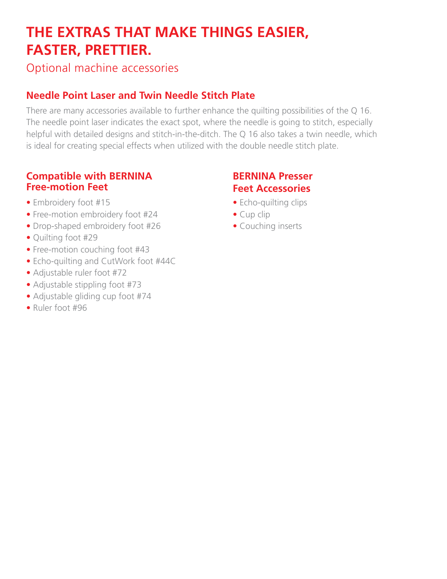# **THE EXTRAS THAT MAKE THINGS EASIER, FASTER, PRETTIER.**

## Optional machine accessories

## **Needle Point Laser and Twin Needle Stitch Plate**

There are many accessories available to further enhance the quilting possibilities of the Q 16. The needle point laser indicates the exact spot, where the needle is going to stitch, especially helpful with detailed designs and stitch-in-the-ditch. The Q 16 also takes a twin needle, which is ideal for creating special effects when utilized with the double needle stitch plate.

## **Compatible with BERNINA Free-motion Feet**

- Embroidery foot #15
- Free-motion embroidery foot #24
- Drop-shaped embroidery foot #26
- Quilting foot #29
- Free-motion couching foot #43
- Echo-quilting and CutWork foot #44C
- Adjustable ruler foot #72
- Adjustable stippling foot #73
- Adjustable gliding cup foot #74
- Ruler foot #96

## **BERNINA Presser Feet Accessories**

- Echo-quilting clips
- Cup clip
- Couching inserts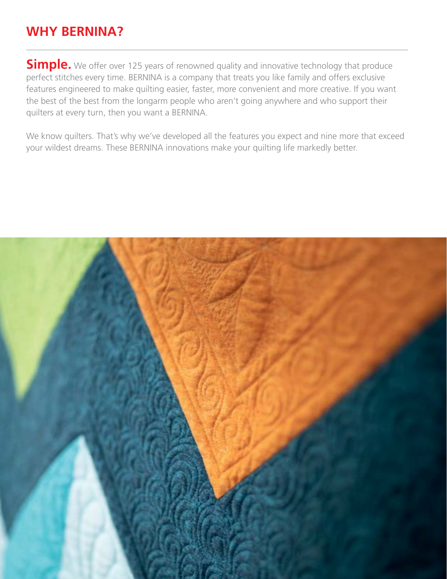# **WHY BERNINA?**

**Simple.** We offer over 125 years of renowned quality and innovative technology that produce perfect stitches every time. BERNINA is a company that treats you like family and offers exclusive features engineered to make quilting easier, faster, more convenient and more creative. If you want the best of the best from the longarm people who aren't going anywhere and who support their quilters at every turn, then you want a BERNINA.

We know quilters. That's why we've developed all the features you expect and nine more that exceed your wildest dreams. These BERNINA innovations make your quilting life markedly better.